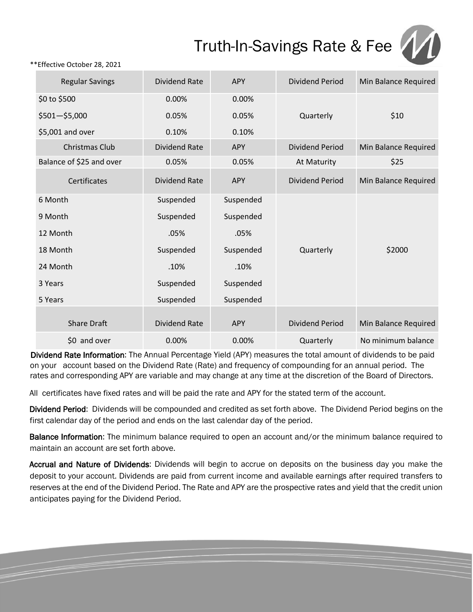## Truth-In-Savings Rate & Fee



\*\*Effective October 28, 2021

| <b>Regular Savings</b>   | <b>Dividend Rate</b> | <b>APY</b> | <b>Dividend Period</b> | Min Balance Required |
|--------------------------|----------------------|------------|------------------------|----------------------|
| \$0 to \$500             | 0.00%                | 0.00%      |                        |                      |
| $$501 - $5,000$          | 0.05%                | 0.05%      | Quarterly              | \$10                 |
| \$5,001 and over         | 0.10%                | 0.10%      |                        |                      |
| <b>Christmas Club</b>    | <b>Dividend Rate</b> | <b>APY</b> | <b>Dividend Period</b> | Min Balance Required |
| Balance of \$25 and over | 0.05%                | 0.05%      | At Maturity            | \$25                 |
| Certificates             | <b>Dividend Rate</b> | <b>APY</b> | <b>Dividend Period</b> | Min Balance Required |
| 6 Month                  | Suspended            | Suspended  |                        |                      |
| 9 Month                  | Suspended            | Suspended  |                        |                      |
| 12 Month                 | .05%                 | .05%       |                        |                      |
| 18 Month                 | Suspended            | Suspended  | Quarterly              | \$2000               |
| 24 Month                 | .10%                 | .10%       |                        |                      |
| 3 Years                  | Suspended            | Suspended  |                        |                      |
| 5 Years                  | Suspended            | Suspended  |                        |                      |
| <b>Share Draft</b>       | <b>Dividend Rate</b> | <b>APY</b> | <b>Dividend Period</b> | Min Balance Required |
| \$0 and over             | 0.00%                | 0.00%      | Quarterly              | No minimum balance   |

Dividend Rate Information: The Annual Percentage Yield (APY) measures the total amount of dividends to be paid on your account based on the Dividend Rate (Rate) and frequency of compounding for an annual period. The rates and corresponding APY are variable and may change at any time at the discretion of the Board of Directors.

All certificates have fixed rates and will be paid the rate and APY for the stated term of the account.

Dividend Period: Dividends will be compounded and credited as set forth above. The Dividend Period begins on the first calendar day of the period and ends on the last calendar day of the period.

Balance Information: The minimum balance required to open an account and/or the minimum balance required to maintain an account are set forth above.

Accrual and Nature of Dividends: Dividends will begin to accrue on deposits on the business day you make the deposit to your account. Dividends are paid from current income and available earnings after required transfers to reserves at the end of the Dividend Period. The Rate and APY are the prospective rates and yield that the credit union anticipates paying for the Dividend Period.